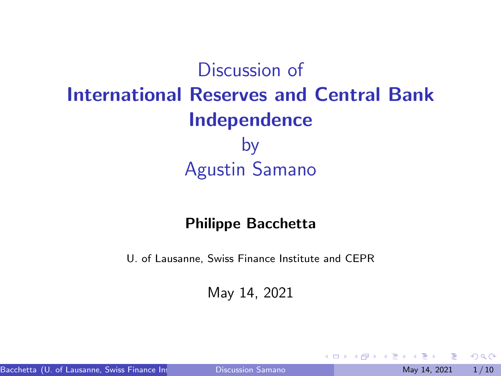<span id="page-0-0"></span>Discussion of International Reserves and Central Bank Independence by Agustin Samano

#### Philippe Bacchetta

U. of Lausanne, Swiss Finance Institute and CEPR

May 14, 2021

 $\Omega$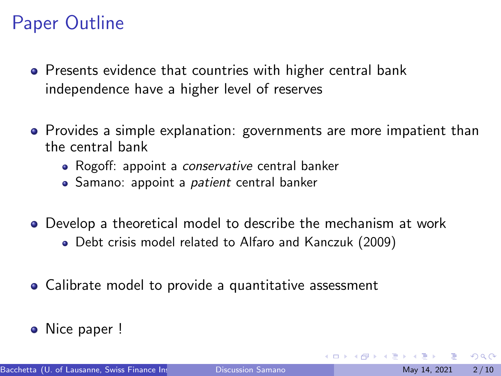# Paper Outline

- Presents evidence that countries with higher central bank independence have a higher level of reserves
- Provides a simple explanation: governments are more impatient than the central bank
	- Rogoff: appoint a *conservative* central banker
	- Samano: appoint a *patient* central banker
- Develop a theoretical model to describe the mechanism at work
	- Debt crisis model related to Alfaro and Kanczuk (2009)
- Calibrate model to provide a quantitative assessment
- Nice paper !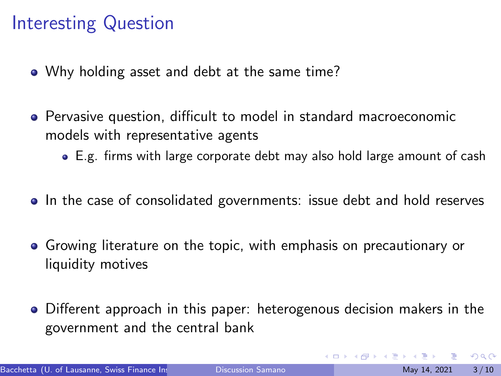## Interesting Question

- Why holding asset and debt at the same time?
- Pervasive question, difficult to model in standard macroeconomic models with representative agents
	- E.g. firms with large corporate debt may also hold large amount of cash
- In the case of consolidated governments: issue debt and hold reserves
- Growing literature on the topic, with emphasis on precautionary or liquidity motives
- Different approach in this paper: heterogenous decision makers in the government and the central bank

 $200$ 

 $\mathcal{A} \oplus \mathcal{B}$  and  $\mathcal{A} \oplus \mathcal{B}$  and  $\mathcal{B} \oplus \mathcal{B}$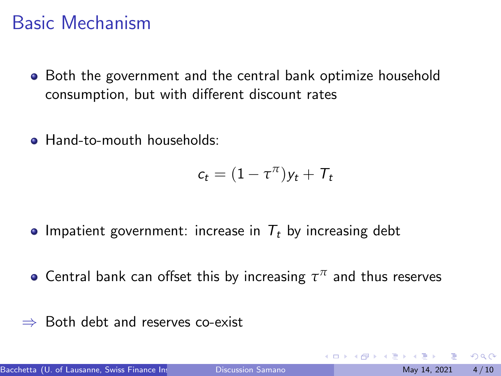## Basic Mechanism

- Both the government and the central bank optimize household consumption, but with different discount rates
- **Hand-to-mouth households:**

$$
c_t = (1 - \tau^{\pi})y_t + \mathcal{T}_t
$$

- Impatient government: increase in  $T_t$  by increasing debt
- Central bank can offset this by increasing  $\tau^{\pi}$  and thus reserves
- ⇒ Both debt and reserves co-exist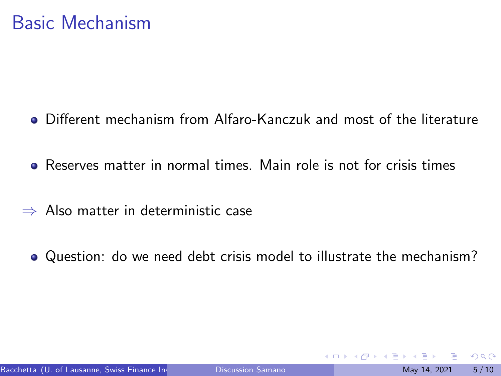- Different mechanism from Alfaro-Kanczuk and most of the literature
- Reserves matter in normal times. Main role is not for crisis times
- ⇒ Also matter in deterministic case
	- Question: do we need debt crisis model to illustrate the mechanism?

 $\Omega$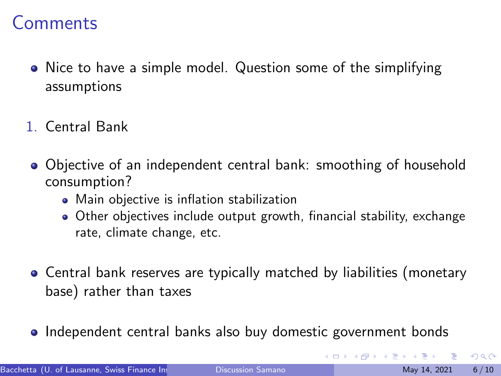- Nice to have a simple model. Question some of the simplifying assumptions
- 1. Central Bank
- Objective of an independent central bank: smoothing of household consumption?
	- Main objective is inflation stabilization
	- Other objectives include output growth, financial stability, exchange rate, climate change, etc.
- Central bank reserves are typically matched by liabilities (monetary base) rather than taxes
- Independent central banks also buy domestic government bonds

 $200$ 

イロト イ押ト イヨト イヨト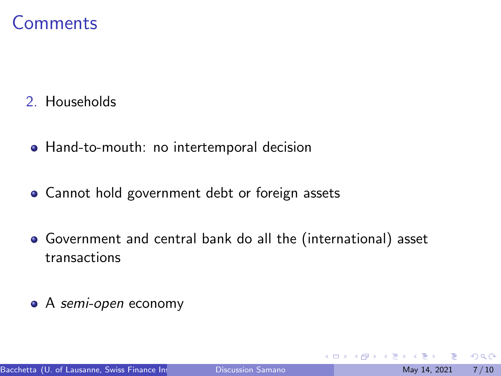- 2. Households
	- Hand-to-mouth: no intertemporal decision
	- Cannot hold government debt or foreign assets
	- Government and central bank do all the (international) asset transactions
- A semi-open economy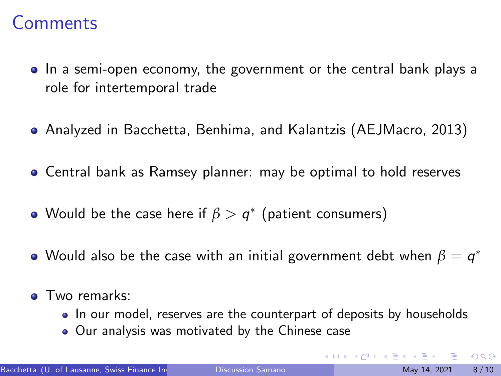- In a semi-open economy, the government or the central bank plays a role for intertemporal trade
- Analyzed in Bacchetta, Benhima, and Kalantzis (AEJMacro, 2013)
- Central bank as Ramsey planner: may be optimal to hold reserves
- Would be the case here if  $\beta > q^*$  (patient consumers)
- Would also be the case with an initial government debt when  $\beta=q^*$
- **o** Two remarks:
	- In our model, reserves are the counterpart of deposits by households
	- Our analysis was motivated by the Chinese case

 $\Omega$ 

イロト イ押ト イヨト イヨト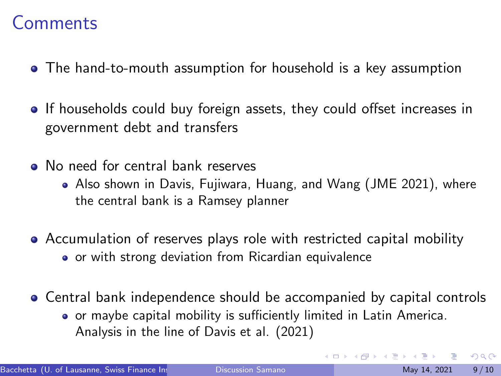- The hand-to-mouth assumption for household is a key assumption
- If households could buy foreign assets, they could offset increases in government debt and transfers
- No need for central bank reserves
	- Also shown in Davis, Fujiwara, Huang, and Wang (JME 2021), where the central bank is a Ramsey planner
- Accumulation of reserves plays role with restricted capital mobility • or with strong deviation from Ricardian equivalence
- Central bank independence should be accompanied by capital controls
	- or maybe capital mobility is sufficiently limited in Latin America. Analysis in the line of Davis et al. (2021)

 $200$